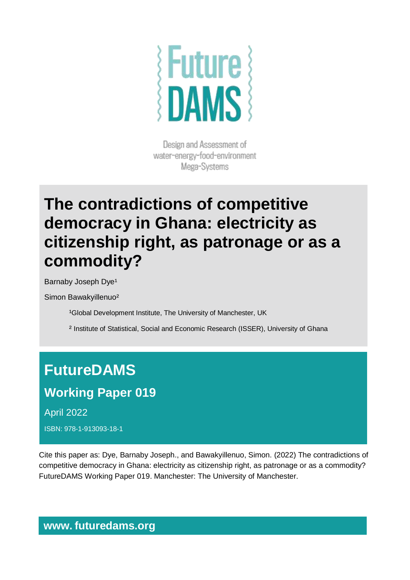

Design and Assessment of water-energy-food-environment Mega-Systems

# **The contradictions of competitive democracy in Ghana: electricity as citizenship right, as patronage or as a commodity?**

Barnaby Joseph Dye<sup>1</sup>

Simon Bawakyillenuo²

<sup>1</sup>Global Development Institute, The University of Manchester, UK

² Institute of Statistical, Social and Economic Research (ISSER), University of Ghana

## **FutureDAMS**

## **Working Paper 019**

April 2022

ISBN: 978-1-913093-18-1

Cite this paper as: Dye, Barnaby Joseph., and Bawakyillenuo, Simon. (2022) The contradictions of competitive democracy in Ghana: electricity as citizenship right, as patronage or as a commodity? FutureDAMS Working Paper 019. Manchester: The University of Manchester.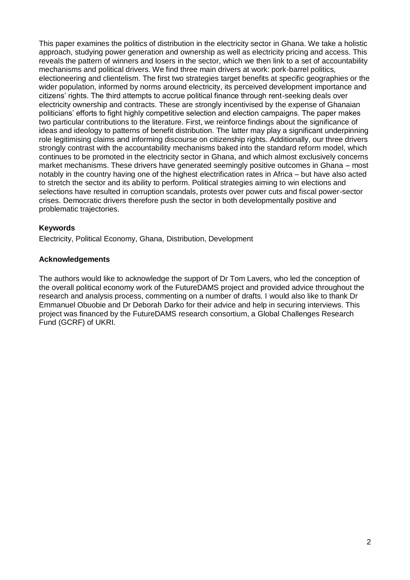This paper examines the politics of distribution in the electricity sector in Ghana. We take a holistic approach, studying power generation and ownership as well as electricity pricing and access. This reveals the pattern of winners and losers in the sector, which we then link to a set of accountability mechanisms and political drivers. We find three main drivers at work: pork-barrel politics, electioneering and clientelism. The first two strategies target benefits at specific geographies or the wider population, informed by norms around electricity, its perceived development importance and citizens' rights. The third attempts to accrue political finance through rent-seeking deals over electricity ownership and contracts. These are strongly incentivised by the expense of Ghanaian politicians' efforts to fight highly competitive selection and election campaigns. The paper makes two particular contributions to the literature. First, we reinforce findings about the significance of ideas and ideology to patterns of benefit distribution. The latter may play a significant underpinning role legitimising claims and informing discourse on citizenship rights. Additionally, our three drivers strongly contrast with the accountability mechanisms baked into the standard reform model, which continues to be promoted in the electricity sector in Ghana, and which almost exclusively concerns market mechanisms. These drivers have generated seemingly positive outcomes in Ghana – most notably in the country having one of the highest electrification rates in Africa – but have also acted to stretch the sector and its ability to perform. Political strategies aiming to win elections and selections have resulted in corruption scandals, protests over power cuts and fiscal power-sector crises. Democratic drivers therefore push the sector in both developmentally positive and problematic trajectories.

#### **Keywords**

Electricity, Political Economy, Ghana, Distribution, Development

#### **Acknowledgements**

The authors would like to acknowledge the support of Dr Tom Lavers, who led the conception of the overall political economy work of the FutureDAMS project and provided advice throughout the research and analysis process, commenting on a number of drafts. I would also like to thank Dr Emmanuel Obuobie and Dr Deborah Darko for their advice and help in securing interviews. This project was financed by the FutureDAMS research consortium, a Global Challenges Research Fund (GCRF) of UKRI.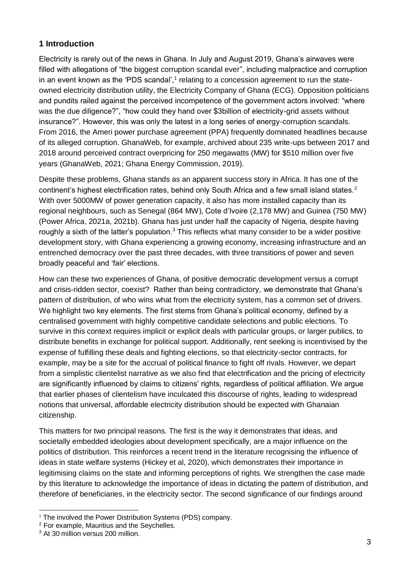#### **1 Introduction**

Electricity is rarely out of the news in Ghana. In July and August 2019, Ghana's airwaves were filled with allegations of "the biggest corruption scandal ever", including malpractice and corruption in an event known as the 'PDS scandal', $<sup>1</sup>$  relating to a concession agreement to run the state-</sup> owned electricity distribution utility, the Electricity Company of Ghana (ECG). Opposition politicians and pundits railed against the perceived incompetence of the government actors involved: "where was the due diligence?", "how could they hand over \$3billion of electricity-grid assets without insurance?". However, this was only the latest in a long series of energy-corruption scandals. From 2016, the Ameri power purchase agreement (PPA) frequently dominated headlines because of its alleged corruption. GhanaWeb, for example, archived about 235 write-ups between 2017 and 2018 around perceived contract overpricing for 250 megawatts (MW) for \$510 million over five years (GhanaWeb, 2021; Ghana Energy Commission, 2019).

Despite these problems, Ghana stands as an apparent success story in Africa. It has one of the continent's highest electrification rates, behind only South Africa and a few small island states.<sup>2</sup> With over 5000MW of power generation capacity, it also has more installed capacity than its regional neighbours, such as Senegal (864 MW), Cote d'Ivoire (2,178 MW) and Guinea (750 MW) (Power Africa, 2021a, 2021b). Ghana has just under half the capacity of Nigeria, despite having roughly a sixth of the latter's population.<sup>3</sup> This reflects what many consider to be a wider positive development story, with Ghana experiencing a growing economy, increasing infrastructure and an entrenched democracy over the past three decades, with three transitions of power and seven broadly peaceful and 'fair' elections.

How can these two experiences of Ghana, of positive democratic development versus a corrupt and crisis-ridden sector, coexist? Rather than being contradictory, we demonstrate that Ghana's pattern of distribution, of who wins what from the electricity system, has a common set of drivers. We highlight two key elements. The first stems from Ghana's political economy, defined by a centralised government with highly competitive candidate selections and public elections. To survive in this context requires implicit or explicit deals with particular groups, or larger publics, to distribute benefits in exchange for political support. Additionally, rent seeking is incentivised by the expense of fulfilling these deals and fighting elections, so that electricity-sector contracts, for example, may be a site for the accrual of political finance to fight off rivals. However, we depart from a simplistic clientelist narrative as we also find that electrification and the pricing of electricity are significantly influenced by claims to citizens' rights, regardless of political affiliation. We argue that earlier phases of clientelism have inculcated this discourse of rights, leading to widespread notions that universal, affordable electricity distribution should be expected with Ghanaian citizenship.

This matters for two principal reasons. The first is the way it demonstrates that ideas, and societally embedded ideologies about development specifically, are a major influence on the politics of distribution. This reinforces a recent trend in the literature recognising the influence of ideas in state welfare systems (Hickey et al, 2020), which demonstrates their importance in legitimising claims on the state and informing perceptions of rights. We strengthen the case made by this literature to acknowledge the importance of ideas in dictating the pattern of distribution, and therefore of beneficiaries, in the electricity sector. The second significance of our findings around

<sup>&</sup>lt;sup>1</sup> The involved the Power Distribution Systems (PDS) company.

<sup>&</sup>lt;sup>2</sup> For example, Mauritius and the Sevchelles.

<sup>3</sup> At 30 million versus 200 million.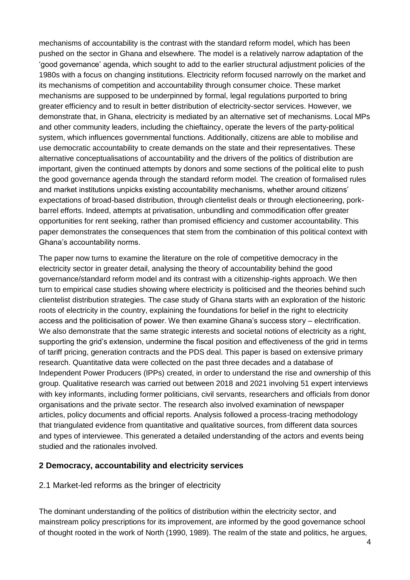mechanisms of accountability is the contrast with the standard reform model, which has been pushed on the sector in Ghana and elsewhere. The model is a relatively narrow adaptation of the 'good governance' agenda, which sought to add to the earlier structural adjustment policies of the 1980s with a focus on changing institutions. Electricity reform focused narrowly on the market and its mechanisms of competition and accountability through consumer choice. These market mechanisms are supposed to be underpinned by formal, legal regulations purported to bring greater efficiency and to result in better distribution of electricity-sector services. However, we demonstrate that, in Ghana, electricity is mediated by an alternative set of mechanisms. Local MPs and other community leaders, including the chieftaincy, operate the levers of the party-political system, which influences governmental functions. Additionally, citizens are able to mobilise and use democratic accountability to create demands on the state and their representatives. These alternative conceptualisations of accountability and the drivers of the politics of distribution are important, given the continued attempts by donors and some sections of the political elite to push the good governance agenda through the standard reform model. The creation of formalised rules and market institutions unpicks existing accountability mechanisms, whether around citizens' expectations of broad-based distribution, through clientelist deals or through electioneering, porkbarrel efforts. Indeed, attempts at privatisation, unbundling and commodification offer greater opportunities for rent seeking, rather than promised efficiency and customer accountability. This paper demonstrates the consequences that stem from the combination of this political context with Ghana's accountability norms.

The paper now turns to examine the literature on the role of competitive democracy in the electricity sector in greater detail, analysing the theory of accountability behind the good governance/standard reform model and its contrast with a citizenship-rights approach. We then turn to empirical case studies showing where electricity is politicised and the theories behind such clientelist distribution strategies. The case study of Ghana starts with an exploration of the historic roots of electricity in the country, explaining the foundations for belief in the right to electricity access and the politicisation of power. We then examine Ghana's success story – electrification. We also demonstrate that the same strategic interests and societal notions of electricity as a right, supporting the grid's extension, undermine the fiscal position and effectiveness of the grid in terms of tariff pricing, generation contracts and the PDS deal. This paper is based on extensive primary research. Quantitative data were collected on the past three decades and a database of Independent Power Producers (IPPs) created, in order to understand the rise and ownership of this group. Qualitative research was carried out between 2018 and 2021 involving 51 expert interviews with key informants, including former politicians, civil servants, researchers and officials from donor organisations and the private sector. The research also involved examination of newspaper articles, policy documents and official reports. Analysis followed a process-tracing methodology that triangulated evidence from quantitative and qualitative sources, from different data sources and types of interviewee. This generated a detailed understanding of the actors and events being studied and the rationales involved.

#### **2 Democracy, accountability and electricity services**

#### 2.1 Market-led reforms as the bringer of electricity

The dominant understanding of the politics of distribution within the electricity sector, and mainstream policy prescriptions for its improvement, are informed by the good governance school of thought rooted in the work of North (1990, 1989). The realm of the state and politics, he argues,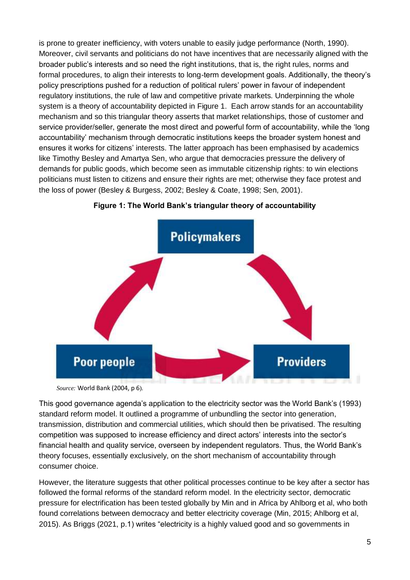is prone to greater inefficiency, with voters unable to easily judge performance (North, 1990). Moreover, civil servants and politicians do not have incentives that are necessarily aligned with the broader public's interests and so need the right institutions, that is, the right rules, norms and formal procedures, to align their interests to long-term development goals. Additionally, the theory's policy prescriptions pushed for a reduction of political rulers' power in favour of independent regulatory institutions, the rule of law and competitive private markets. Underpinning the whole system is a theory of accountability depicted in Figure 1. Each arrow stands for an accountability mechanism and so this triangular theory asserts that market relationships, those of customer and service provider/seller, generate the most direct and powerful form of accountability, while the 'long accountability' mechanism through democratic institutions keeps the broader system honest and ensures it works for citizens' interests. The latter approach has been emphasised by academics like Timothy Besley and Amartya Sen, who argue that democracies pressure the delivery of demands for public goods, which become seen as immutable citizenship rights: to win elections politicians must listen to citizens and ensure their rights are met; otherwise they face protest and the loss of power (Besley & Burgess, 2002; Besley & Coate, 1998; Sen, 2001).



**Figure 1: The World Bank's triangular theory of accountability**

*Source:* World Bank (2004, p 6).

This good governance agenda's application to the electricity sector was the World Bank's (1993) standard reform model. It outlined a programme of unbundling the sector into generation, transmission, distribution and commercial utilities, which should then be privatised. The resulting competition was supposed to increase efficiency and direct actors' interests into the sector's financial health and quality service, overseen by independent regulators. Thus, the World Bank's theory focuses, essentially exclusively, on the short mechanism of accountability through consumer choice.

However, the literature suggests that other political processes continue to be key after a sector has followed the formal reforms of the standard reform model. In the electricity sector, democratic pressure for electrification has been tested globally by Min and in Africa by Ahlborg et al, who both found correlations between democracy and better electricity coverage (Min, 2015; Ahlborg et al, 2015). As Briggs (2021, p.1) writes "electricity is a highly valued good and so governments in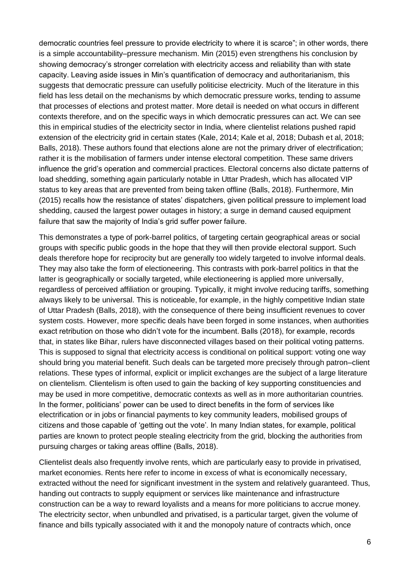democratic countries feel pressure to provide electricity to where it is scarce"; in other words, there is a simple accountability–pressure mechanism. Min (2015) even strengthens his conclusion by showing democracy's stronger correlation with electricity access and reliability than with state capacity. Leaving aside issues in Min's quantification of democracy and authoritarianism, this suggests that democratic pressure can usefully politicise electricity. Much of the literature in this field has less detail on the mechanisms by which democratic pressure works, tending to assume that processes of elections and protest matter. More detail is needed on what occurs in different contexts therefore, and on the specific ways in which democratic pressures can act. We can see this in empirical studies of the electricity sector in India, where clientelist relations pushed rapid extension of the electricity grid in certain states (Kale, 2014; Kale et al, 2018; Dubash et al, 2018; Balls, 2018). These authors found that elections alone are not the primary driver of electrification; rather it is the mobilisation of farmers under intense electoral competition. These same drivers influence the grid's operation and commercial practices. Electoral concerns also dictate patterns of load shedding, something again particularly notable in Uttar Pradesh, which has allocated VIP status to key areas that are prevented from being taken offline (Balls, 2018). Furthermore, Min (2015) recalls how the resistance of states' dispatchers, given political pressure to implement load shedding, caused the largest power outages in history; a surge in demand caused equipment failure that saw the majority of India's grid suffer power failure.

This demonstrates a type of pork-barrel politics, of targeting certain geographical areas or social groups with specific public goods in the hope that they will then provide electoral support. Such deals therefore hope for reciprocity but are generally too widely targeted to involve informal deals. They may also take the form of electioneering. This contrasts with pork-barrel politics in that the latter is geographically or socially targeted, while electioneering is applied more universally, regardless of perceived affiliation or grouping. Typically, it might involve reducing tariffs, something always likely to be universal. This is noticeable, for example, in the highly competitive Indian state of Uttar Pradesh (Balls, 2018), with the consequence of there being insufficient revenues to cover system costs. However, more specific deals have been forged in some instances, when authorities exact retribution on those who didn't vote for the incumbent. Balls (2018), for example, records that, in states like Bihar, rulers have disconnected villages based on their political voting patterns. This is supposed to signal that electricity access is conditional on political support: voting one way should bring you material benefit. Such deals can be targeted more precisely through patron–client relations. These types of informal, explicit or implicit exchanges are the subject of a large literature on clientelism. Clientelism is often used to gain the backing of key supporting constituencies and may be used in more competitive, democratic contexts as well as in more authoritarian countries. In the former, politicians' power can be used to direct benefits in the form of services like electrification or in jobs or financial payments to key community leaders, mobilised groups of citizens and those capable of 'getting out the vote'. In many Indian states, for example, political parties are known to protect people stealing electricity from the grid, blocking the authorities from pursuing charges or taking areas offline (Balls, 2018).

Clientelist deals also frequently involve rents, which are particularly easy to provide in privatised, market economies. Rents here refer to income in excess of what is economically necessary, extracted without the need for significant investment in the system and relatively guaranteed. Thus, handing out contracts to supply equipment or services like maintenance and infrastructure construction can be a way to reward loyalists and a means for more politicians to accrue money. The electricity sector, when unbundled and privatised, is a particular target, given the volume of finance and bills typically associated with it and the monopoly nature of contracts which, once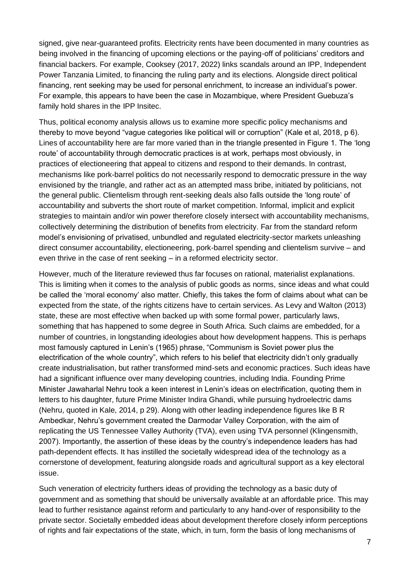signed, give near-guaranteed profits. Electricity rents have been documented in many countries as being involved in the financing of upcoming elections or the paying-off of politicians' creditors and financial backers. For example, Cooksey (2017, 2022) links scandals around an IPP, Independent Power Tanzania Limited, to financing the ruling party and its elections. Alongside direct political financing, rent seeking may be used for personal enrichment, to increase an individual's power. For example, this appears to have been the case in Mozambique, where President Guebuza's family hold shares in the IPP Insitec.

Thus, political economy analysis allows us to examine more specific policy mechanisms and thereby to move beyond "vague categories like political will or corruption" (Kale et al, 2018, p 6). Lines of accountability here are far more varied than in the triangle presented in Figure 1. The 'long route' of accountability through democratic practices is at work, perhaps most obviously, in practices of electioneering that appeal to citizens and respond to their demands. In contrast, mechanisms like pork-barrel politics do not necessarily respond to democratic pressure in the way envisioned by the triangle, and rather act as an attempted mass bribe, initiated by politicians, not the general public. Clientelism through rent-seeking deals also falls outside the 'long route' of accountability and subverts the short route of market competition. Informal, implicit and explicit strategies to maintain and/or win power therefore closely intersect with accountability mechanisms, collectively determining the distribution of benefits from electricity. Far from the standard reform model's envisioning of privatised, unbundled and regulated electricity-sector markets unleashing direct consumer accountability, electioneering, pork-barrel spending and clientelism survive – and even thrive in the case of rent seeking – in a reformed electricity sector.

However, much of the literature reviewed thus far focuses on rational, materialist explanations. This is limiting when it comes to the analysis of public goods as norms, since ideas and what could be called the 'moral economy' also matter. Chiefly, this takes the form of claims about what can be expected from the state, of the rights citizens have to certain services. As Levy and Walton (2013) state, these are most effective when backed up with some formal power, particularly laws, something that has happened to some degree in South Africa. Such claims are embedded, for a number of countries, in longstanding ideologies about how development happens. This is perhaps most famously captured in Lenin's (1965) phrase, "Communism is Soviet power plus the electrification of the whole country", which refers to his belief that electricity didn't only gradually create industrialisation, but rather transformed mind-sets and economic practices. Such ideas have had a significant influence over many developing countries, including India. Founding Prime Minister Jawaharlal Nehru took a keen interest in Lenin's ideas on electrification, quoting them in letters to his daughter, future Prime Minister Indira Ghandi, while pursuing hydroelectric dams (Nehru, quoted in Kale, 2014, p 29). Along with other leading independence figures like B R Ambedkar, Nehru's government created the Darmodar Valley Corporation, with the aim of replicating the US Tennessee Valley Authority (TVA), even using TVA personnel (Klingensmith, 2007). Importantly, the assertion of these ideas by the country's independence leaders has had path-dependent effects. It has instilled the societally widespread idea of the technology as a cornerstone of development, featuring alongside roads and agricultural support as a key electoral issue.

Such veneration of electricity furthers ideas of providing the technology as a basic duty of government and as something that should be universally available at an affordable price. This may lead to further resistance against reform and particularly to any hand-over of responsibility to the private sector. Societally embedded ideas about development therefore closely inform perceptions of rights and fair expectations of the state, which, in turn, form the basis of long mechanisms of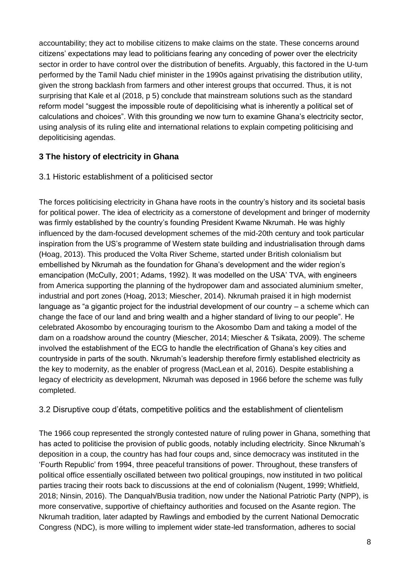accountability; they act to mobilise citizens to make claims on the state. These concerns around citizens' expectations may lead to politicians fearing any conceding of power over the electricity sector in order to have control over the distribution of benefits. Arguably, this factored in the U-turn performed by the Tamil Nadu chief minister in the 1990s against privatising the distribution utility, given the strong backlash from farmers and other interest groups that occurred. Thus, it is not surprising that Kale et al (2018, p 5) conclude that mainstream solutions such as the standard reform model "suggest the impossible route of depoliticising what is inherently a political set of calculations and choices". With this grounding we now turn to examine Ghana's electricity sector, using analysis of its ruling elite and international relations to explain competing politicising and depoliticising agendas.

#### **3 The history of electricity in Ghana**

#### 3.1 Historic establishment of a politicised sector

The forces politicising electricity in Ghana have roots in the country's history and its societal basis for political power. The idea of electricity as a cornerstone of development and bringer of modernity was firmly established by the country's founding President Kwame Nkrumah. He was highly influenced by the dam-focused development schemes of the mid-20th century and took particular inspiration from the US's programme of Western state building and industrialisation through dams (Hoag, 2013). This produced the Volta River Scheme, started under British colonialism but embellished by Nkrumah as the foundation for Ghana's development and the wider region's emancipation (McCully, 2001; Adams, 1992). It was modelled on the USA' TVA, with engineers from America supporting the planning of the hydropower dam and associated aluminium smelter, industrial and port zones (Hoag, 2013; Miescher, 2014). Nkrumah praised it in high modernist language as "a gigantic project for the industrial development of our country – a scheme which can change the face of our land and bring wealth and a higher standard of living to our people". He celebrated Akosombo by encouraging tourism to the Akosombo Dam and taking a model of the dam on a roadshow around the country (Miescher, 2014; Miescher & Tsikata, 2009). The scheme involved the establishment of the ECG to handle the electrification of Ghana's key cities and countryside in parts of the south. Nkrumah's leadership therefore firmly established electricity as the key to modernity, as the enabler of progress (MacLean et al, 2016). Despite establishing a legacy of electricity as development, Nkrumah was deposed in 1966 before the scheme was fully completed.

3.2 Disruptive coup d'états, competitive politics and the establishment of clientelism

The 1966 coup represented the strongly contested nature of ruling power in Ghana, something that has acted to politicise the provision of public goods, notably including electricity. Since Nkrumah's deposition in a coup, the country has had four coups and, since democracy was instituted in the 'Fourth Republic' from 1994, three peaceful transitions of power. Throughout, these transfers of political office essentially oscillated between two political groupings, now instituted in two political parties tracing their roots back to discussions at the end of colonialism (Nugent, 1999; Whitfield, 2018; Ninsin, 2016). The Danquah/Busia tradition, now under the National Patriotic Party (NPP), is more conservative, supportive of chieftaincy authorities and focused on the Asante region. The Nkrumah tradition, later adapted by Rawlings and embodied by the current National Democratic Congress (NDC), is more willing to implement wider state-led transformation, adheres to social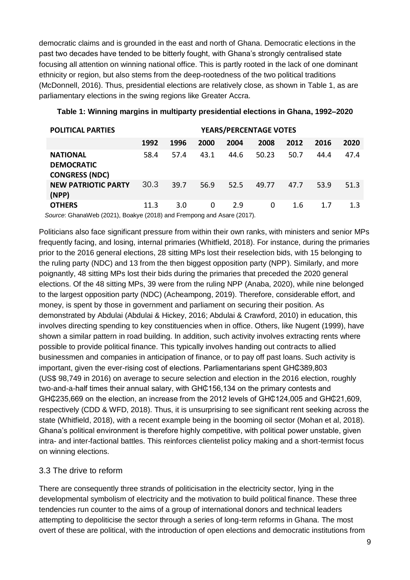democratic claims and is grounded in the east and north of Ghana. Democratic elections in the past two decades have tended to be bitterly fought, with Ghana's strongly centralised state focusing all attention on winning national office. This is partly rooted in the lack of one dominant ethnicity or region, but also stems from the deep-rootedness of the two political traditions (McDonnell, 2016). Thus, presidential elections are relatively close, as shown in Table 1, as are parliamentary elections in the swing regions like Greater Accra.

| <b>POLITICAL PARTIES</b>                                              | <b>YEARS/PERCENTAGE VOTES</b> |      |      |      |       |      |      |      |
|-----------------------------------------------------------------------|-------------------------------|------|------|------|-------|------|------|------|
|                                                                       | 1992                          | 1996 | 2000 | 2004 | 2008  | 2012 | 2016 | 2020 |
| <b>NATIONAL</b><br><b>DEMOCRATIC</b><br><b>CONGRESS (NDC)</b>         | 58.4                          | 57.4 | 43.1 | 44.6 | 50.23 | 50.7 | 44.4 | 47.4 |
| <b>NEW PATRIOTIC PARTY</b><br>(NPP)                                   | 30.3                          | 39.7 | 56.9 | 52.5 | 49.77 | 47.7 | 53.9 | 51.3 |
| <b>OTHERS</b>                                                         | 11.3                          | 3.0  | 0    | 2.9  | 0     | 1.6  | 1.7  | 1.3  |
| Source: GhanaWeb (2021), Boakye (2018) and Frempong and Asare (2017). |                               |      |      |      |       |      |      |      |

#### **Table 1: Winning margins in multiparty presidential elections in Ghana, 1992–2020**

Politicians also face significant pressure from within their own ranks, with ministers and senior MPs frequently facing, and losing, internal primaries (Whitfield, 2018). For instance, during the primaries prior to the 2016 general elections, 28 sitting MPs lost their reselection bids, with 15 belonging to the ruling party (NDC) and 13 from the then biggest opposition party (NPP). Similarly, and more poignantly, 48 sitting MPs lost their bids during the primaries that preceded the 2020 general elections. Of the 48 sitting MPs, 39 were from the ruling NPP (Anaba, 2020), while nine belonged to the largest opposition party (NDC) (Acheampong, 2019). Therefore, considerable effort, and money, is spent by those in government and parliament on securing their position. As demonstrated by Abdulai (Abdulai & Hickey, 2016; Abdulai & Crawford, 2010) in education, this involves directing spending to key constituencies when in office. Others, like Nugent (1999), have shown a similar pattern in road building. In addition, such activity involves extracting rents where possible to provide political finance. This typically involves handing out contracts to allied businessmen and companies in anticipation of finance, or to pay off past loans. Such activity is important, given the ever-rising cost of elections. Parliamentarians spent GHC389,803 (US\$ 98,749 in 2016) on average to secure selection and election in the 2016 election, roughly two-and-a-half times their annual salary, with GH $\textcircled{t}$ 156,134 on the primary contests and GH¢235,669 on the election, an increase from the 2012 levels of GH¢124,005 and GH¢21,609, respectively (CDD & WFD, 2018). Thus, it is unsurprising to see significant rent seeking across the state (Whitfield, 2018), with a recent example being in the booming oil sector (Mohan et al, 2018). Ghana's political environment is therefore highly competitive, with political power unstable, given intra- and inter-factional battles. This reinforces clientelist policy making and a short-termist focus on winning elections.

#### 3.3 The drive to reform

There are consequently three strands of politicisation in the electricity sector, lying in the developmental symbolism of electricity and the motivation to build political finance. These three tendencies run counter to the aims of a group of international donors and technical leaders attempting to depoliticise the sector through a series of long-term reforms in Ghana. The most overt of these are political, with the introduction of open elections and democratic institutions from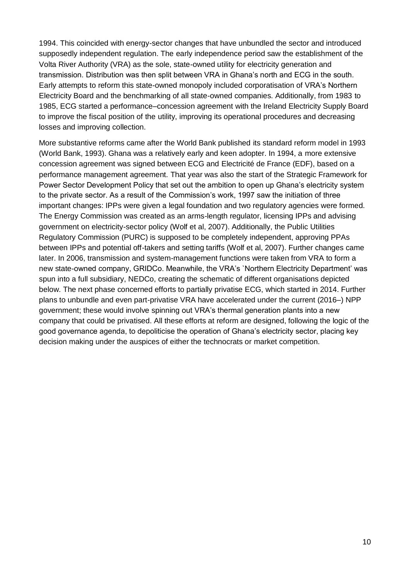1994. This coincided with energy-sector changes that have unbundled the sector and introduced supposedly independent regulation. The early independence period saw the establishment of the Volta River Authority (VRA) as the sole, state-owned utility for electricity generation and transmission. Distribution was then split between VRA in Ghana's north and ECG in the south. Early attempts to reform this state-owned monopoly included corporatisation of VRA's Northern Electricity Board and the benchmarking of all state-owned companies. Additionally, from 1983 to 1985, ECG started a performance–concession agreement with the Ireland Electricity Supply Board to improve the fiscal position of the utility, improving its operational procedures and decreasing losses and improving collection.

More substantive reforms came after the World Bank published its standard reform model in 1993 (World Bank, 1993). Ghana was a relatively early and keen adopter. In 1994, a more extensive concession agreement was signed between ECG and Electricité de France (EDF), based on a performance management agreement. That year was also the start of the Strategic Framework for Power Sector Development Policy that set out the ambition to open up Ghana's electricity system to the private sector. As a result of the Commission's work, 1997 saw the initiation of three important changes: IPPs were given a legal foundation and two regulatory agencies were formed. The Energy Commission was created as an arms-length regulator, licensing IPPs and advising government on electricity-sector policy (Wolf et al, 2007). Additionally, the Public Utilities Regulatory Commission (PURC) is supposed to be completely independent, approving PPAs between IPPs and potential off-takers and setting tariffs (Wolf et al, 2007). Further changes came later. In 2006, transmission and system-management functions were taken from VRA to form a new state-owned company, GRIDCo. Meanwhile, the VRA's `Northern Electricity Department' was spun into a full subsidiary, NEDCo, creating the schematic of different organisations depicted below. The next phase concerned efforts to partially privatise ECG, which started in 2014. Further plans to unbundle and even part-privatise VRA have accelerated under the current (2016–) NPP government; these would involve spinning out VRA's thermal generation plants into a new company that could be privatised. All these efforts at reform are designed, following the logic of the good governance agenda, to depoliticise the operation of Ghana's electricity sector, placing key decision making under the auspices of either the technocrats or market competition.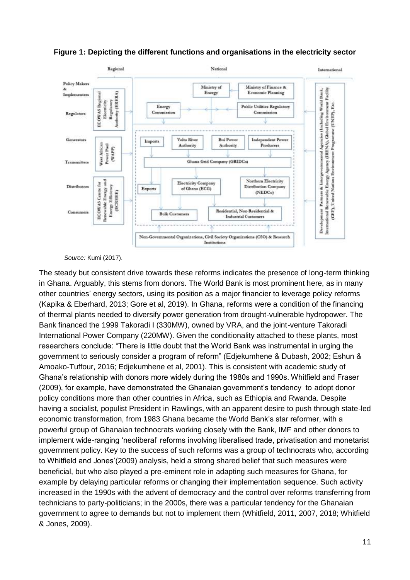

#### **Figure 1: Depicting the different functions and organisations in the electricity sector**

*Source:* Kumi (2017).

The steady but consistent drive towards these reforms indicates the presence of long-term thinking in Ghana. Arguably, this stems from donors. The World Bank is most prominent here, as in many other countries' energy sectors, using its position as a major financier to leverage policy reforms (Kapika & Eberhard, 2013; Gore et al, 2019). In Ghana, reforms were a condition of the financing of thermal plants needed to diversify power generation from drought-vulnerable hydropower. The Bank financed the 1999 Takoradi I (330MW), owned by VRA, and the joint-venture Takoradi International Power Company (220MW). Given the conditionality attached to these plants, most researchers conclude: "There is little doubt that the World Bank was instrumental in urging the government to seriously consider a program of reform" (Edjekumhene & Dubash, 2002; Eshun & Amoako-Tuffour, 2016; Edjekumhene et al, 2001). This is consistent with academic study of Ghana's relationship with donors more widely during the 1980s and 1990s. Whitfield and Fraser (2009), for example, have demonstrated the Ghanaian government's tendency to adopt donor policy conditions more than other countries in Africa, such as Ethiopia and Rwanda. Despite having a socialist, populist President in Rawlings, with an apparent desire to push through state-led economic transformation, from 1983 Ghana became the World Bank's star reformer, with a powerful group of Ghanaian technocrats working closely with the Bank, IMF and other donors to implement wide-ranging 'neoliberal' reforms involving liberalised trade, privatisation and monetarist government policy. Key to the success of such reforms was a group of technocrats who, according to Whitfield and Jones'(2009) analysis, held a strong shared belief that such measures were beneficial, but who also played a pre-eminent role in adapting such measures for Ghana, for example by delaying particular reforms or changing their implementation sequence. Such activity increased in the 1990s with the advent of democracy and the control over reforms transferring from technicians to party-politicians; in the 2000s, there was a particular tendency for the Ghanaian government to agree to demands but not to implement them (Whitfield, 2011, 2007, 2018; Whitfield & Jones, 2009).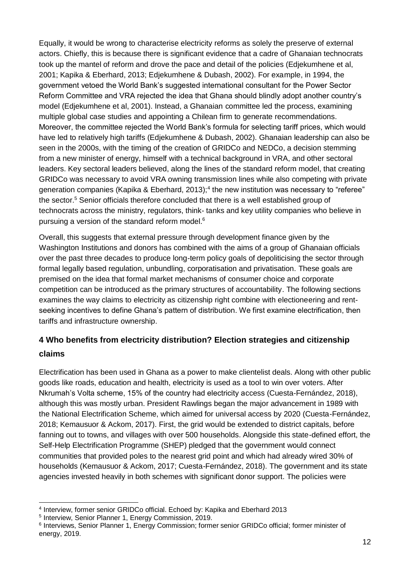Equally, it would be wrong to characterise electricity reforms as solely the preserve of external actors. Chiefly, this is because there is significant evidence that a cadre of Ghanaian technocrats took up the mantel of reform and drove the pace and detail of the policies (Edjekumhene et al, 2001; Kapika & Eberhard, 2013; Edjekumhene & Dubash, 2002). For example, in 1994, the government vetoed the World Bank's suggested international consultant for the Power Sector Reform Committee and VRA rejected the idea that Ghana should blindly adopt another country's model (Edjekumhene et al, 2001). Instead, a Ghanaian committee led the process, examining multiple global case studies and appointing a Chilean firm to generate recommendations. Moreover, the committee rejected the World Bank's formula for selecting tariff prices, which would have led to relatively high tariffs (Edjekumhene & Dubash, 2002). Ghanaian leadership can also be seen in the 2000s, with the timing of the creation of GRIDCo and NEDCo, a decision stemming from a new minister of energy, himself with a technical background in VRA, and other sectoral leaders. Key sectoral leaders believed, along the lines of the standard reform model, that creating GRIDCo was necessary to avoid VRA owning transmission lines while also competing with private generation companies (Kapika & Eberhard, 2013);<sup>4</sup> the new institution was necessary to "referee" the sector.<sup>5</sup> Senior officials therefore concluded that there is a well established group of technocrats across the ministry, regulators, think- tanks and key utility companies who believe in pursuing a version of the standard reform model.<sup>6</sup>

Overall, this suggests that external pressure through development finance given by the Washington Institutions and donors has combined with the aims of a group of Ghanaian officials over the past three decades to produce long-term policy goals of depoliticising the sector through formal legally based regulation, unbundling, corporatisation and privatisation. These goals are premised on the idea that formal market mechanisms of consumer choice and corporate competition can be introduced as the primary structures of accountability. The following sections examines the way claims to electricity as citizenship right combine with electioneering and rentseeking incentives to define Ghana's pattern of distribution. We first examine electrification, then tariffs and infrastructure ownership.

## **4 Who benefits from electricity distribution? Election strategies and citizenship claims**

Electrification has been used in Ghana as a power to make clientelist deals. Along with other public goods like roads, education and health, electricity is used as a tool to win over voters. After Nkrumah's Volta scheme, 15% of the country had electricity access (Cuesta-Fernández, 2018), although this was mostly urban. President Rawlings began the major advancement in 1989 with the National Electrification Scheme, which aimed for universal access by 2020 (Cuesta-Fernández, 2018; Kemausuor & Ackom, 2017). First, the grid would be extended to district capitals, before fanning out to towns, and villages with over 500 households. Alongside this state-defined effort, the Self-Help Electrification Programme (SHEP) pledged that the government would connect communities that provided poles to the nearest grid point and which had already wired 30% of households (Kemausuor & Ackom, 2017; Cuesta-Fernández, 2018). The government and its state agencies invested heavily in both schemes with significant donor support. The policies were

<sup>-</sup>4 Interview, former senior GRIDCo official. Echoed by: Kapika and Eberhard 2013

<sup>5</sup> Interview, Senior Planner 1, Energy Commission, 2019.

<sup>&</sup>lt;sup>6</sup> Interviews, Senior Planner 1, Energy Commission; former senior GRIDCo official; former minister of energy, 2019.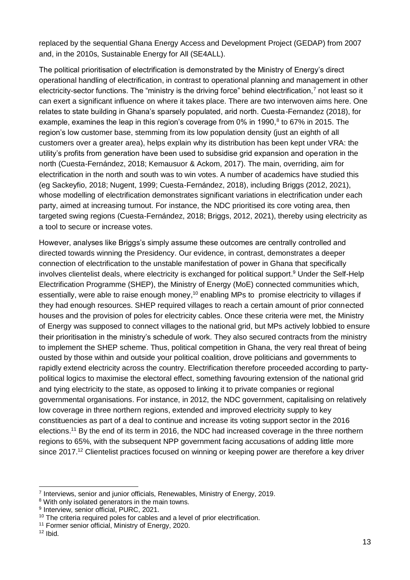replaced by the sequential Ghana Energy Access and Development Project (GEDAP) from 2007 and, in the 2010s, Sustainable Energy for All (SE4ALL).

The political prioritisation of electrification is demonstrated by the Ministry of Energy's direct operational handling of electrification, in contrast to operational planning and management in other electricity-sector functions. The "ministry is the driving force" behind electrification, $<sup>7</sup>$  not least so it</sup> can exert a significant influence on where it takes place. There are two interwoven aims here. One relates to state building in Ghana's sparsely populated, arid north. Cuesta-Fernandez (2018), for example, examines the leap in this region's coverage from 0% in 1990, $8$  to 67% in 2015. The region's low customer base, stemming from its low population density (just an eighth of all customers over a greater area), helps explain why its distribution has been kept under VRA: the utility's profits from generation have been used to subsidise grid expansion and operation in the north (Cuesta-Fernández, 2018; Kemausuor & Ackom, 2017). The main, overriding, aim for electrification in the north and south was to win votes. A number of academics have studied this (eg Sackeyfio, 2018; Nugent, 1999; Cuesta-Fernández, 2018), including Briggs (2012, 2021), whose modelling of electrification demonstrates significant variations in electrification under each party, aimed at increasing turnout. For instance, the NDC prioritised its core voting area, then targeted swing regions (Cuesta-Fernández, 2018; Briggs, 2012, 2021), thereby using electricity as a tool to secure or increase votes.

However, analyses like Briggs's simply assume these outcomes are centrally controlled and directed towards winning the Presidency. Our evidence, in contrast, demonstrates a deeper connection of electrification to the unstable manifestation of power in Ghana that specifically involves clientelist deals, where electricity is exchanged for political support. <sup>9</sup> Under the Self-Help Electrification Programme (SHEP), the Ministry of Energy (MoE) connected communities which, essentially, were able to raise enough money,<sup>10</sup> enabling MPs to promise electricity to villages if they had enough resources. SHEP required villages to reach a certain amount of prior connected houses and the provision of poles for electricity cables. Once these criteria were met, the Ministry of Energy was supposed to connect villages to the national grid, but MPs actively lobbied to ensure their prioritisation in the ministry's schedule of work. They also secured contracts from the ministry to implement the SHEP scheme. Thus, political competition in Ghana, the very real threat of being ousted by those within and outside your political coalition, drove politicians and governments to rapidly extend electricity across the country. Electrification therefore proceeded according to partypolitical logics to maximise the electoral effect, something favouring extension of the national grid and tying electricity to the state, as opposed to linking it to private companies or regional governmental organisations. For instance, in 2012, the NDC government, capitalising on relatively low coverage in three northern regions, extended and improved electricity supply to key constituencies as part of a deal to continue and increase its voting support sector in the 2016 elections.<sup>11</sup> By the end of its term in 2016, the NDC had increased coverage in the three northern regions to 65%, with the subsequent NPP government facing accusations of adding little more since 2017.<sup>12</sup> Clientelist practices focused on winning or keeping power are therefore a key driver

<sup>&</sup>lt;sup>7</sup> Interviews, senior and junior officials, Renewables, Ministry of Energy, 2019.

<sup>&</sup>lt;sup>8</sup> With only isolated generators in the main towns.

<sup>9</sup> Interview, senior official, PURC, 2021.

<sup>&</sup>lt;sup>10</sup> The criteria required poles for cables and a level of prior electrification.

<sup>&</sup>lt;sup>11</sup> Former senior official, Ministry of Energy, 2020.

 $12$  Ibid.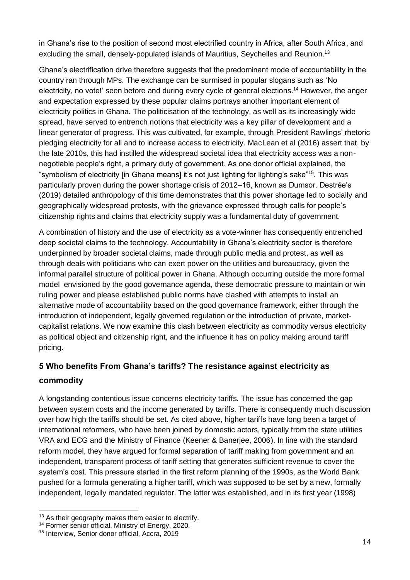in Ghana's rise to the position of second most electrified country in Africa, after South Africa, and excluding the small, densely-populated islands of Mauritius, Seychelles and Reunion.<sup>13</sup>

Ghana's electrification drive therefore suggests that the predominant mode of accountability in the country ran through MPs. The exchange can be surmised in popular slogans such as 'No electricity, no vote!' seen before and during every cycle of general elections.<sup>14</sup> However, the anger and expectation expressed by these popular claims portrays another important element of electricity politics in Ghana. The politicisation of the technology, as well as its increasingly wide spread, have served to entrench notions that electricity was a key pillar of development and a linear generator of progress. This was cultivated, for example, through President Rawlings' rhetoric pledging electricity for all and to increase access to electricity. MacLean et al (2016) assert that, by the late 2010s, this had instilled the widespread societal idea that electricity access was a nonnegotiable people's right, a primary duty of government. As one donor official explained, the "symbolism of electricity [in Ghana means] it's not just lighting for lighting's sake"<sup>15</sup>. This was particularly proven during the power shortage crisis of 2012–16, known as Dumsor. Destrée's (2019) detailed anthropology of this time demonstrates that this power shortage led to socially and geographically widespread protests, with the grievance expressed through calls for people's citizenship rights and claims that electricity supply was a fundamental duty of government.

A combination of history and the use of electricity as a vote-winner has consequently entrenched deep societal claims to the technology. Accountability in Ghana's electricity sector is therefore underpinned by broader societal claims, made through public media and protest, as well as through deals with politicians who can exert power on the utilities and bureaucracy, given the informal parallel structure of political power in Ghana. Although occurring outside the more formal model envisioned by the good governance agenda, these democratic pressure to maintain or win ruling power and please established public norms have clashed with attempts to install an alternative mode of accountability based on the good governance framework, either through the introduction of independent, legally governed regulation or the introduction of private, marketcapitalist relations. We now examine this clash between electricity as commodity versus electricity as political object and citizenship right, and the influence it has on policy making around tariff pricing.

### **5 Who benefits From Ghana's tariffs? The resistance against electricity as commodity**

A longstanding contentious issue concerns electricity tariffs. The issue has concerned the gap between system costs and the income generated by tariffs. There is consequently much discussion over how high the tariffs should be set. As cited above, higher tariffs have long been a target of international reformers, who have been joined by domestic actors, typically from the state utilities VRA and ECG and the Ministry of Finance (Keener & Banerjee, 2006). In line with the standard reform model, they have argued for formal separation of tariff making from government and an independent, transparent process of tariff setting that generates sufficient revenue to cover the system's cost. This pressure started in the first reform planning of the 1990s, as the World Bank pushed for a formula generating a higher tariff, which was supposed to be set by a new, formally independent, legally mandated regulator. The latter was established, and in its first year (1998)

<sup>-</sup><sup>13</sup> As their geography makes them easier to electrify.

<sup>14</sup> Former senior official, Ministry of Energy, 2020.

<sup>15</sup> Interview, Senior donor official, Accra, 2019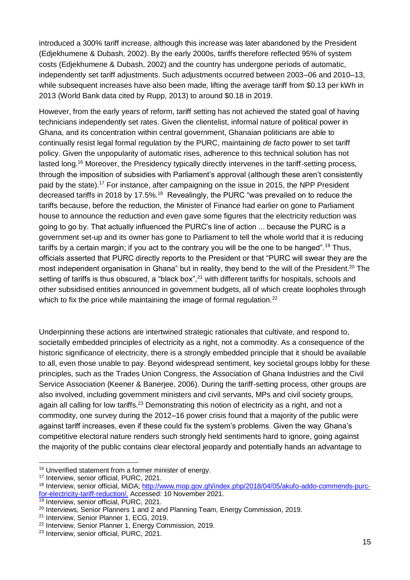introduced a 300% tariff increase, although this increase was later abandoned by the President (Edjekhumene & Dubash, 2002). By the early 2000s, tariffs therefore reflected 95% of system costs (Edjekhumene & Dubash, 2002) and the country has undergone periods of automatic, independently set tariff adjustments. Such adjustments occurred between 2003–06 and 2010–13, while subsequent increases have also been made, lifting the average tariff from \$0.13 per kWh in 2013 (World Bank data cited by Rupp, 2013) to around \$0.18 in 2019.

However, from the early years of reform, tariff setting has not achieved the stated goal of having technicians independently set rates. Given the clientelist, informal nature of political power in Ghana, and its concentration within central government, Ghanaian politicians are able to continually resist legal formal regulation by the PURC, maintaining *de facto* power to set tariff policy. Given the unpopularity of automatic rises, adherence to this technical solution has not lasted long.<sup>16</sup> Moreover, the Presidency typically directly intervenes in the tariff-setting process, through the imposition of subsidies with Parliament's approval (although these aren't consistently paid by the state).<sup>17</sup> For instance, after campaigning on the issue in 2015, the NPP President decreased tariffs in 2018 by 17.5%.<sup>18</sup> Revealingly, the PURC "was prevailed on to reduce the tariffs because, before the reduction, the Minister of Finance had earlier on gone to Parliament house to announce the reduction and even gave some figures that the electricity reduction was going to go by. That actually influenced the PURC's line of action ... because the PURC is a government set-up and its owner has gone to Parliament to tell the whole world that it is reducing tariffs by a certain margin; if you act to the contrary you will be the one to be hanged".<sup>19</sup> Thus, officials asserted that PURC directly reports to the President or that "PURC will swear they are the most independent organisation in Ghana" but in reality, they bend to the will of the President.<sup>20</sup> The setting of tariffs is thus obscured, a "black box",<sup>21</sup> with different tariffs for hospitals, schools and other subsidised entities announced in government budgets, all of which create loopholes through which to fix the price while maintaining the image of formal regulation.<sup>22</sup>

Underpinning these actions are intertwined strategic rationales that cultivate, and respond to, societally embedded principles of electricity as a right, not a commodity. As a consequence of the historic significance of electricity, there is a strongly embedded principle that it should be available to all, even those unable to pay. Beyond widespread sentiment, key societal groups lobby for these principles, such as the Trades Union Congress, the Association of Ghana Industries and the Civil Service Association (Keener & Banerjee, 2006). During the tariff-setting process, other groups are also involved, including government ministers and civil servants, MPs and civil society groups, again all calling for low tariffs.<sup>23</sup> Demonstrating this notion of electricity as a right, and not a commodity, one survey during the 2012–16 power crisis found that a majority of the public were against tariff increases, even if these could fix the system's problems. Given the way Ghana's competitive electoral nature renders such strongly held sentiments hard to ignore, going against the majority of the public contains clear electoral jeopardy and potentially hands an advantage to

<sup>16</sup> Unverified statement from a former minister of energy.

<sup>&</sup>lt;sup>17</sup> Interview, senior official, PURC, 2021.

<sup>18</sup> Interview, senior official, MiDA; [http://www.mop.gov.gh/index.php/2018/04/05/akufo-addo-commends-purc](http://www.mop.gov.gh/index.php/2018/04/05/akufo-addo-commends-purc-for-electricity-tariff-reduction/)[for-electricity-tariff-reduction/.](http://www.mop.gov.gh/index.php/2018/04/05/akufo-addo-commends-purc-for-electricity-tariff-reduction/) Accessed: 10 November 2021.

<sup>&</sup>lt;sup>19</sup> Interview, senior official, PURC, 2021.

<sup>&</sup>lt;sup>20</sup> Interviews, Senior Planners 1 and 2 and Planning Team, Energy Commission, 2019.

<sup>21</sup> Interview, Senior Planner 1, ECG, 2019.

<sup>22</sup> Interview, Senior Planner 1, Energy Commission, 2019.

<sup>&</sup>lt;sup>23</sup> Interview, senior official, PURC, 2021.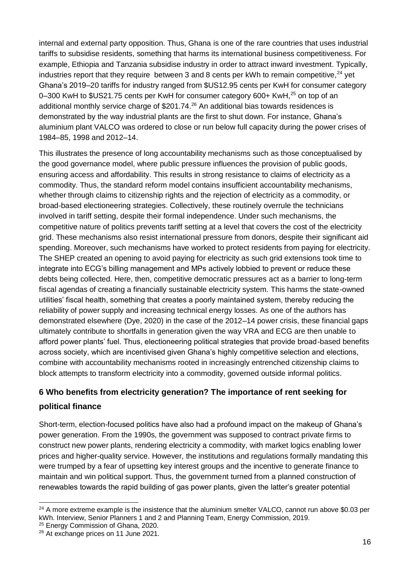internal and external party opposition. Thus, Ghana is one of the rare countries that uses industrial tariffs to subsidise residents, something that harms its international business competitiveness. For example, Ethiopia and Tanzania subsidise industry in order to attract inward investment. Typically, industries report that they require between 3 and 8 cents per kWh to remain competitive,  $24$  yet Ghana's 2019–20 tariffs for industry ranged from \$US12.95 cents per KwH for consumer category 0–300 KwH to \$US21.75 cents per KwH for consumer category 600+ KwH,<sup>25</sup> on top of an additional monthly service charge of \$201.74.<sup>26</sup> An additional bias towards residences is demonstrated by the way industrial plants are the first to shut down. For instance, Ghana's aluminium plant VALCO was ordered to close or run below full capacity during the power crises of 1984–85, 1998 and 2012–14.

This illustrates the presence of long accountability mechanisms such as those conceptualised by the good governance model, where public pressure influences the provision of public goods, ensuring access and affordability. This results in strong resistance to claims of electricity as a commodity. Thus, the standard reform model contains insufficient accountability mechanisms, whether through claims to citizenship rights and the rejection of electricity as a commodity, or broad-based electioneering strategies. Collectively, these routinely overrule the technicians involved in tariff setting, despite their formal independence. Under such mechanisms, the competitive nature of politics prevents tariff setting at a level that covers the cost of the electricity grid. These mechanisms also resist international pressure from donors, despite their significant aid spending. Moreover, such mechanisms have worked to protect residents from paying for electricity. The SHEP created an opening to avoid paying for electricity as such grid extensions took time to integrate into ECG's billing management and MPs actively lobbied to prevent or reduce these debts being collected. Here, then, competitive democratic pressures act as a barrier to long-term fiscal agendas of creating a financially sustainable electricity system. This harms the state-owned utilities' fiscal health, something that creates a poorly maintained system, thereby reducing the reliability of power supply and increasing technical energy losses. As one of the authors has demonstrated elsewhere (Dye, 2020) in the case of the 2012–14 power crisis, these financial gaps ultimately contribute to shortfalls in generation given the way VRA and ECG are then unable to afford power plants' fuel. Thus, electioneering political strategies that provide broad-based benefits across society, which are incentivised given Ghana's highly competitive selection and elections, combine with accountability mechanisms rooted in increasingly entrenched citizenship claims to block attempts to transform electricity into a commodity, governed outside informal politics.

#### **6 Who benefits from electricity generation? The importance of rent seeking for**

#### **political finance**

-

Short-term, election-focused politics have also had a profound impact on the makeup of Ghana's power generation. From the 1990s, the government was supposed to contract private firms to construct new power plants, rendering electricity a commodity, with market logics enabling lower prices and higher-quality service. However, the institutions and regulations formally mandating this were trumped by a fear of upsetting key interest groups and the incentive to generate finance to maintain and win political support. Thus, the government turned from a planned construction of renewables towards the rapid building of gas power plants, given the latter's greater potential

<sup>25</sup> Energy Commission of Ghana, 2020.

 $24$  A more extreme example is the insistence that the aluminium smelter VALCO, cannot run above \$0.03 per kWh. Interview, Senior Planners 1 and 2 and Planning Team, Energy Commission, 2019.

<sup>&</sup>lt;sup>26</sup> At exchange prices on 11 June 2021.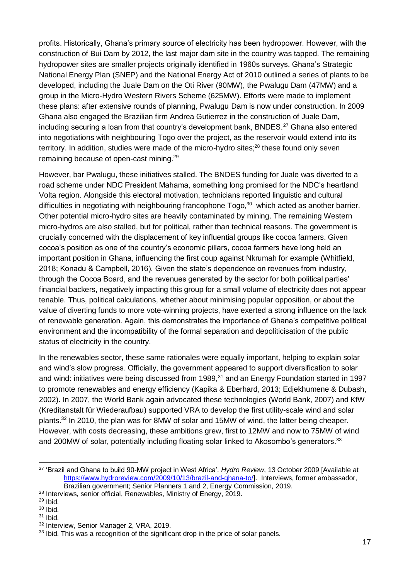profits. Historically, Ghana's primary source of electricity has been hydropower. However, with the construction of Bui Dam by 2012, the last major dam site in the country was tapped. The remaining hydropower sites are smaller projects originally identified in 1960s surveys. Ghana's Strategic National Energy Plan (SNEP) and the National Energy Act of 2010 outlined a series of plants to be developed, including the Juale Dam on the Oti River (90MW), the Pwalugu Dam (47MW) and a group in the Micro-Hydro Western Rivers Scheme (625MW). Efforts were made to implement these plans: after extensive rounds of planning, Pwalugu Dam is now under construction. In 2009 Ghana also engaged the Brazilian firm Andrea Gutierrez in the construction of Juale Dam, including securing a loan from that country's development bank, BNDES.<sup>27</sup> Ghana also entered into negotiations with neighbouring Togo over the project, as the reservoir would extend into its territory. In addition, studies were made of the micro-hydro sites:<sup>28</sup> these found only seven remaining because of open-cast mining.<sup>29</sup>

However, bar Pwalugu, these initiatives stalled. The BNDES funding for Juale was diverted to a road scheme under NDC President Mahama, something long promised for the NDC's heartland Volta region. Alongside this electoral motivation, technicians reported linguistic and cultural difficulties in negotiating with neighbouring francophone Togo,<sup>30</sup> which acted as another barrier. Other potential micro-hydro sites are heavily contaminated by mining. The remaining Western micro-hydros are also stalled, but for political, rather than technical reasons. The government is crucially concerned with the displacement of key influential groups like cocoa farmers. Given cocoa's position as one of the country's economic pillars, cocoa farmers have long held an important position in Ghana, influencing the first coup against Nkrumah for example (Whitfield, 2018; Konadu & Campbell, 2016). Given the state's dependence on revenues from industry, through the Cocoa Board, and the revenues generated by the sector for both political parties' financial backers, negatively impacting this group for a small volume of electricity does not appear tenable. Thus, political calculations, whether about minimising popular opposition, or about the value of diverting funds to more vote-winning projects, have exerted a strong influence on the lack of renewable generation. Again, this demonstrates the importance of Ghana's competitive political environment and the incompatibility of the formal separation and depoliticisation of the public status of electricity in the country.

In the renewables sector, these same rationales were equally important, helping to explain solar and wind's slow progress. Officially, the government appeared to support diversification to solar and wind: initiatives were being discussed from 1989,<sup>31</sup> and an Energy Foundation started in 1997 to promote renewables and energy efficiency (Kapika & Eberhard, 2013; Edjekhumene & Dubash, 2002). In 2007, the World Bank again advocated these technologies (World Bank, 2007) and KfW (Kreditanstalt für Wiederaufbau) supported VRA to develop the first utility-scale wind and solar plants.<sup>32</sup> In 2010, the plan was for 8MW of solar and 15MW of wind, the latter being cheaper. However, with costs decreasing, these ambitions grew, first to 12MW and now to 75MW of wind and 200MW of solar, potentially including floating solar linked to Akosombo's generators.<sup>33</sup>

<sup>-</sup><sup>27</sup> 'Brazil and Ghana to build 90-MW project in West Africa'. *Hydro Review*, 13 October 2009 [Available at [https://www.hydroreview.com/2009/10/13/brazil-and-ghana-to/\]](https://www.hydroreview.com/2009/10/13/brazil-and-ghana-to/). Interviews, former ambassador, Brazilian government; Senior Planners 1 and 2, Energy Commission, 2019.

<sup>&</sup>lt;sup>28</sup> Interviews, senior official, Renewables, Ministry of Energy, 2019.

 $29$  Ibid.

<sup>30</sup> Ibid.

<sup>31</sup> Ibid.

<sup>32</sup> Interview, Senior Manager 2, VRA, 2019.

<sup>&</sup>lt;sup>33</sup> Ibid. This was a recognition of the significant drop in the price of solar panels.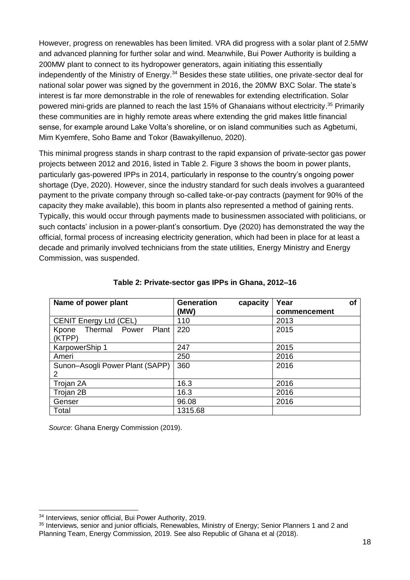However, progress on renewables has been limited. VRA did progress with a solar plant of 2.5MW and advanced planning for further solar and wind. Meanwhile, Bui Power Authority is building a 200MW plant to connect to its hydropower generators, again initiating this essentially independently of the Ministry of Energy.<sup>34</sup> Besides these state utilities, one private-sector deal for national solar power was signed by the government in 2016, the 20MW BXC Solar. The state's interest is far more demonstrable in the role of renewables for extending electrification. Solar powered mini-grids are planned to reach the last 15% of Ghanaians without electricity. <sup>35</sup> Primarily these communities are in highly remote areas where extending the grid makes little financial sense, for example around Lake Volta's shoreline, or on island communities such as Agbetumi, Mim Kyemfere, Soho Bame and Tokor (Bawakyillenuo, 2020).

This minimal progress stands in sharp contrast to the rapid expansion of private-sector gas power projects between 2012 and 2016, listed in Table 2. Figure 3 shows the boom in power plants, particularly gas-powered IPPs in 2014, particularly in response to the country's ongoing power shortage (Dye, 2020). However, since the industry standard for such deals involves a guaranteed payment to the private company through so-called take-or-pay contracts (payment for 90% of the capacity they make available), this boom in plants also represented a method of gaining rents. Typically, this would occur through payments made to businessmen associated with politicians, or such contacts' inclusion in a power-plant's consortium. Dye (2020) has demonstrated the way the official, formal process of increasing electricity generation, which had been in place for at least a decade and primarily involved technicians from the state utilities, Energy Ministry and Energy Commission, was suspended.

| Name of power plant               | <b>Generation</b><br>capacity | Year<br>οf   |
|-----------------------------------|-------------------------------|--------------|
|                                   | (MW)                          | commencement |
| <b>CENIT Energy Ltd (CEL)</b>     | 110                           | 2013         |
| Thermal Power<br>Plant  <br>Kpone | 220                           | 2015         |
| (KTPP)                            |                               |              |
| KarpowerShip 1                    | 247                           | 2015         |
| Ameri                             | 250                           | 2016         |
| Sunon-Asogli Power Plant (SAPP)   | 360                           | 2016         |
| 2                                 |                               |              |
| Trojan 2A                         | 16.3                          | 2016         |
| Trojan 2B                         | 16.3                          | 2016         |
| Genser                            | 96.08                         | 2016         |
| Total                             | 1315.68                       |              |

#### **Table 2: Private-sector gas IPPs in Ghana, 2012–16**

*Source*: Ghana Energy Commission (2019).

<sup>34</sup> Interviews, senior official, Bui Power Authority, 2019.

<sup>&</sup>lt;sup>35</sup> Interviews, senior and junior officials, Renewables, Ministry of Energy; Senior Planners 1 and 2 and Planning Team, Energy Commission, 2019. See also Republic of Ghana et al (2018).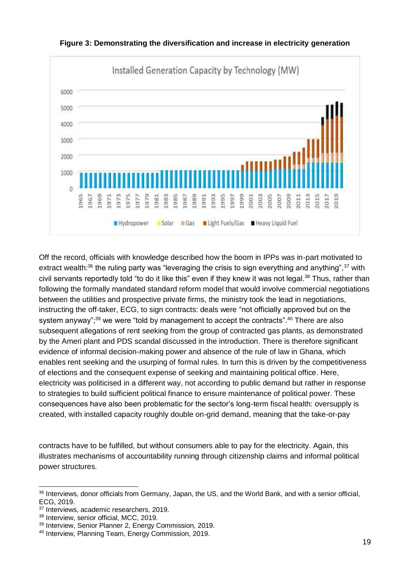

**Figure 3: Demonstrating the diversification and increase in electricity generation**

Off the record, officials with knowledge described how the boom in IPPs was in-part motivated to extract wealth: $36$  the ruling party was "leveraging the crisis to sign everything and anything",  $37$  with civil servants reportedly told "to do it like this" even if they knew it was not legal.<sup>38</sup> Thus, rather than following the formally mandated standard reform model that would involve commercial negotiations between the utilities and prospective private firms, the ministry took the lead in negotiations, instructing the off-taker, ECG, to sign contracts: deals were "not officially approved but on the system anyway"; $39$  we were "told by management to accept the contracts".  $40$  There are also subsequent allegations of rent seeking from the group of contracted gas plants, as demonstrated by the Ameri plant and PDS scandal discussed in the introduction. There is therefore significant evidence of informal decision-making power and absence of the rule of law in Ghana, which enables rent seeking and the usurping of formal rules. In turn this is driven by the competitiveness of elections and the consequent expense of seeking and maintaining political office. Here, electricity was politicised in a different way, not according to public demand but rather in response to strategies to build sufficient political finance to ensure maintenance of political power. These consequences have also been problematic for the sector's long-term fiscal health: oversupply is created, with installed capacity roughly double on-grid demand, meaning that the take-or-pay

contracts have to be fulfilled, but without consumers able to pay for the electricity. Again, this illustrates mechanisms of accountability running through citizenship claims and informal political power structures.

<sup>&</sup>lt;sup>36</sup> Interviews, donor officials from Germany, Japan, the US, and the World Bank, and with a senior official, ECG, 2019.

<sup>&</sup>lt;sup>37</sup> Interviews, academic researchers, 2019.

<sup>38</sup> Interview, senior official, MCC, 2019.

<sup>39</sup> Interview, Senior Planner 2, Energy Commission, 2019.

<sup>40</sup> Interview, Planning Team, Energy Commission, 2019.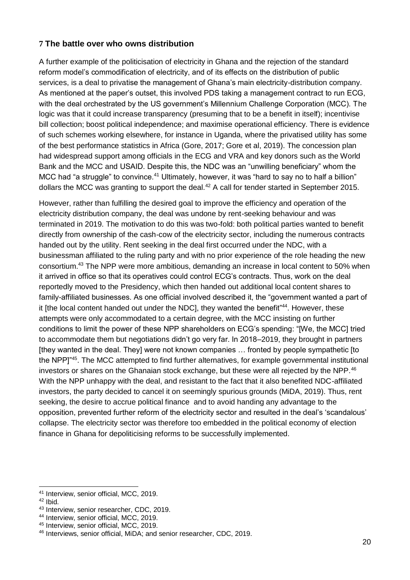#### **7 The battle over who owns distribution**

A further example of the politicisation of electricity in Ghana and the rejection of the standard reform model's commodification of electricity, and of its effects on the distribution of public services, is a deal to privatise the management of Ghana's main electricity-distribution company. As mentioned at the paper's outset, this involved PDS taking a management contract to run ECG, with the deal orchestrated by the US government's Millennium Challenge Corporation (MCC). The logic was that it could increase transparency (presuming that to be a benefit in itself); incentivise bill collection; boost political independence; and maximise operational efficiency. There is evidence of such schemes working elsewhere, for instance in Uganda, where the privatised utility has some of the best performance statistics in Africa (Gore, 2017; Gore et al, 2019). The concession plan had widespread support among officials in the ECG and VRA and key donors such as the World Bank and the MCC and USAID. Despite this, the NDC was an "unwilling beneficiary" whom the MCC had "a struggle" to convince.<sup>41</sup> Ultimately, however, it was "hard to say no to half a billion" dollars the MCC was granting to support the deal.<sup>42</sup> A call for tender started in September 2015.

However, rather than fulfilling the desired goal to improve the efficiency and operation of the electricity distribution company, the deal was undone by rent-seeking behaviour and was terminated in 2019. The motivation to do this was two-fold: both political parties wanted to benefit directly from ownership of the cash-cow of the electricity sector, including the numerous contracts handed out by the utility. Rent seeking in the deal first occurred under the NDC, with a businessman affiliated to the ruling party and with no prior experience of the role heading the new consortium.<sup>43</sup> The NPP were more ambitious, demanding an increase in local content to 50% when it arrived in office so that its operatives could control ECG's contracts. Thus, work on the deal reportedly moved to the Presidency, which then handed out additional local content shares to family-affiliated businesses. As one official involved described it, the "government wanted a part of it [the local content handed out under the NDC], they wanted the benefit"<sup>44</sup>. However, these attempts were only accommodated to a certain degree, with the MCC insisting on further conditions to limit the power of these NPP shareholders on ECG's spending: "[We, the MCC] tried to accommodate them but negotiations didn't go very far. In 2018–2019, they brought in partners [they wanted in the deal. They] were not known companies … fronted by people sympathetic [to the NPP]"<sup>45</sup>. The MCC attempted to find further alternatives, for example governmental institutional investors or shares on the Ghanaian stock exchange, but these were all rejected by the NPP.<sup>46</sup> With the NPP unhappy with the deal, and resistant to the fact that it also benefited NDC-affiliated investors, the party decided to cancel it on seemingly spurious grounds (MiDA, 2019). Thus, rent seeking, the desire to accrue political finance and to avoid handing any advantage to the opposition, prevented further reform of the electricity sector and resulted in the deal's 'scandalous' collapse. The electricity sector was therefore too embedded in the political economy of election finance in Ghana for depoliticising reforms to be successfully implemented.

<sup>-</sup><sup>41</sup> Interview, senior official, MCC, 2019.

 $42$  Ibid.

<sup>43</sup> Interview, senior researcher, CDC, 2019.

<sup>44</sup> Interview, senior official, MCC, 2019.

<sup>45</sup> Interview, senior official, MCC, 2019.

<sup>46</sup> Interviews, senior official, MiDA; and senior researcher, CDC, 2019.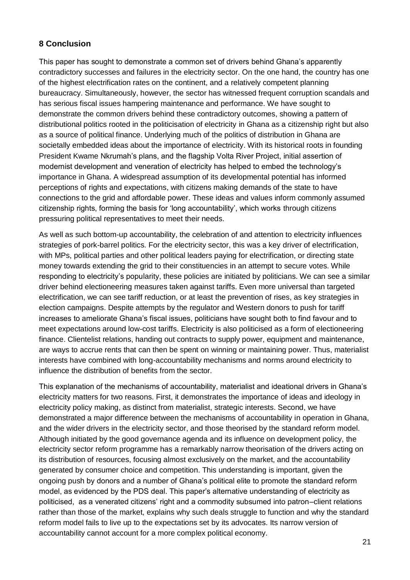#### **8 Conclusion**

This paper has sought to demonstrate a common set of drivers behind Ghana's apparently contradictory successes and failures in the electricity sector. On the one hand, the country has one of the highest electrification rates on the continent, and a relatively competent planning bureaucracy. Simultaneously, however, the sector has witnessed frequent corruption scandals and has serious fiscal issues hampering maintenance and performance. We have sought to demonstrate the common drivers behind these contradictory outcomes, showing a pattern of distributional politics rooted in the politicisation of electricity in Ghana as a citizenship right but also as a source of political finance. Underlying much of the politics of distribution in Ghana are societally embedded ideas about the importance of electricity. With its historical roots in founding President Kwame Nkrumah's plans, and the flagship Volta River Project, initial assertion of modernist development and veneration of electricity has helped to embed the technology's importance in Ghana. A widespread assumption of its developmental potential has informed perceptions of rights and expectations, with citizens making demands of the state to have connections to the grid and affordable power. These ideas and values inform commonly assumed citizenship rights, forming the basis for 'long accountability', which works through citizens pressuring political representatives to meet their needs.

As well as such bottom-up accountability, the celebration of and attention to electricity influences strategies of pork-barrel politics. For the electricity sector, this was a key driver of electrification, with MPs, political parties and other political leaders paying for electrification, or directing state money towards extending the grid to their constituencies in an attempt to secure votes. While responding to electricity's popularity, these policies are initiated by politicians. We can see a similar driver behind electioneering measures taken against tariffs. Even more universal than targeted electrification, we can see tariff reduction, or at least the prevention of rises, as key strategies in election campaigns. Despite attempts by the regulator and Western donors to push for tariff increases to ameliorate Ghana's fiscal issues, politicians have sought both to find favour and to meet expectations around low-cost tariffs. Electricity is also politicised as a form of electioneering finance. Clientelist relations, handing out contracts to supply power, equipment and maintenance, are ways to accrue rents that can then be spent on winning or maintaining power. Thus, materialist interests have combined with long-accountability mechanisms and norms around electricity to influence the distribution of benefits from the sector.

This explanation of the mechanisms of accountability, materialist and ideational drivers in Ghana's electricity matters for two reasons. First, it demonstrates the importance of ideas and ideology in electricity policy making, as distinct from materialist, strategic interests. Second, we have demonstrated a major difference between the mechanisms of accountability in operation in Ghana, and the wider drivers in the electricity sector, and those theorised by the standard reform model. Although initiated by the good governance agenda and its influence on development policy, the electricity sector reform programme has a remarkably narrow theorisation of the drivers acting on its distribution of resources, focusing almost exclusively on the market, and the accountability generated by consumer choice and competition. This understanding is important, given the ongoing push by donors and a number of Ghana's political elite to promote the standard reform model, as evidenced by the PDS deal. This paper's alternative understanding of electricity as politicised, as a venerated citizens' right and a commodity subsumed into patron–client relations rather than those of the market, explains why such deals struggle to function and why the standard reform model fails to live up to the expectations set by its advocates. Its narrow version of accountability cannot account for a more complex political economy.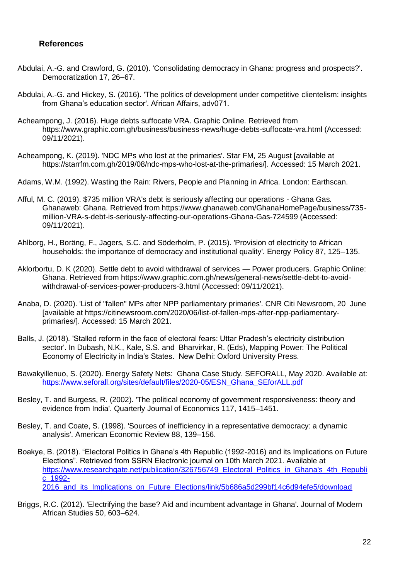#### **References**

- Abdulai, A.-G. and Crawford, G. (2010). 'Consolidating democracy in Ghana: progress and prospects?'. Democratization 17, 26–67.
- Abdulai, A.-G. and Hickey, S. (2016). 'The politics of development under competitive clientelism: insights from Ghana's education sector'. African Affairs, adv071.
- Acheampong, J. (2016). Huge debts suffocate VRA. Graphic Online. Retrieved from https://www.graphic.com.gh/business/business-news/huge-debts-suffocate-vra.html (Accessed: 09/11/2021).
- Acheampong, K. (2019). 'NDC MPs who lost at the primaries'. Star FM, 25 August [available at https://starrfm.com.gh/2019/08/ndc-mps-who-lost-at-the-primaries/]. Accessed: 15 March 2021.
- Adams, W.M. (1992). Wasting the Rain: Rivers, People and Planning in Africa. London: Earthscan.
- Afful, M. C. (2019). \$735 million VRA's debt is seriously affecting our operations Ghana Gas. Ghanaweb: Ghana. Retrieved from https://www.ghanaweb.com/GhanaHomePage/business/735 million-VRA-s-debt-is-seriously-affecting-our-operations-Ghana-Gas-724599 (Accessed: 09/11/2021).
- Ahlborg, H., Boräng, F., Jagers, S.C. and Söderholm, P. (2015). 'Provision of electricity to African households: the importance of democracy and institutional quality'. Energy Policy 87, 125–135.
- Aklorbortu, D. K (2020). Settle debt to avoid withdrawal of services Power producers. Graphic Online: Ghana. Retrieved from https://www.graphic.com.gh/news/general-news/settle-debt-to-avoidwithdrawal-of-services-power-producers-3.html (Accessed: 09/11/2021).
- Anaba, D. (2020). 'List of "fallen" MPs after NPP parliamentary primaries'. CNR Citi Newsroom, 20 June [available at https://citinewsroom.com/2020/06/list-of-fallen-mps-after-npp-parliamentaryprimaries/]. Accessed: 15 March 2021.
- Balls, J. (2018). 'Stalled reform in the face of electoral fears: Uttar Pradesh's electricity distribution sector'. In Dubash, N.K., Kale, S.S. and Bharvirkar, R. (Eds), Mapping Power: The Political Economy of Electricity in India's States. New Delhi: Oxford University Press.
- Bawakyillenuo, S. (2020). Energy Safety Nets: Ghana Case Study. SEFORALL, May 2020. Available at: [https://www.seforall.org/sites/default/files/2020-05/ESN\\_Ghana\\_SEforALL.pdf](https://www.seforall.org/sites/default/files/2020-05/ESN_Ghana_SEforALL.pdf)
- Besley, T. and Burgess, R. (2002). 'The political economy of government responsiveness: theory and evidence from India'. Quarterly Journal of Economics 117, 1415–1451.
- Besley, T. and Coate, S. (1998). 'Sources of inefficiency in a representative democracy: a dynamic analysis'. American Economic Review 88, 139–156.
- Boakye, B. (2018). "Electoral Politics in Ghana's 4th Republic (1992-2016) and its Implications on Future Elections". Retrieved from SSRN Electronic journal on 10th March 2021. Available at https://www.researchgate.net/publication/326756749 Electoral Politics in Ghana's 4th Republi [c\\_1992-](https://www.researchgate.net/publication/326756749_Electoral_Politics_in_Ghana) 2016 and its Implications on Future Elections/link/5b686a5d299bf14c6d94efe5/download
- Briggs, R.C. (2012). 'Electrifying the base? Aid and incumbent advantage in Ghana'. Journal of Modern African Studies 50, 603–624.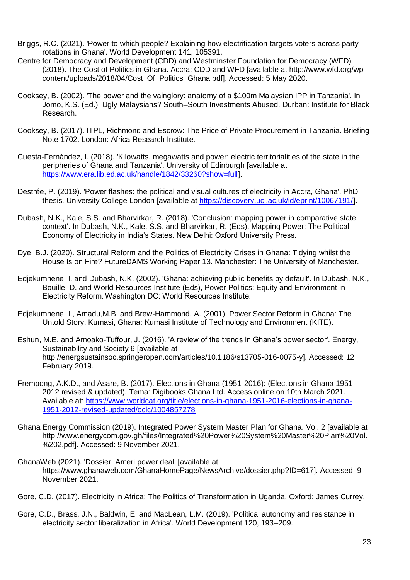- Briggs, R.C. (2021). 'Power to which people? Explaining how electrification targets voters across party rotations in Ghana'. World Development 141, 105391.
- Centre for Democracy and Development (CDD) and Westminster Foundation for Democracy (WFD) (2018). The Cost of Politics in Ghana. Accra: CDD and WFD [available at http://www.wfd.org/wpcontent/uploads/2018/04/Cost\_Of\_Politics\_Ghana.pdf]. Accessed: 5 May 2020.
- Cooksey, B. (2002). 'The power and the vainglory: anatomy of a \$100m Malaysian IPP in Tanzania'. In Jomo, K.S. (Ed.), Ugly Malaysians? South–South Investments Abused. Durban: Institute for Black Research.
- Cooksey, B. (2017). ITPL, Richmond and Escrow: The Price of Private Procurement in Tanzania. Briefing Note 1702. London: Africa Research Institute.
- Cuesta-Fernández, I. (2018). 'Kilowatts, megawatts and power: electric territorialities of the state in the peripheries of Ghana and Tanzania'. University of Edinburgh [available at [https://www.era.lib.ed.ac.uk/handle/1842/33260?show=full\]](https://www.era.lib.ed.ac.uk/handle/1842/33260?show=full).
- Destrée, P. (2019). 'Power flashes: the political and visual cultures of electricity in Accra, Ghana'. PhD thesis. University College London [available at [https://discovery.ucl.ac.uk/id/eprint/10067191/\]](https://discovery.ucl.ac.uk/id/eprint/10067191/).
- Dubash, N.K., Kale, S.S. and Bharvirkar, R. (2018). 'Conclusion: mapping power in comparative state context'. In Dubash, N.K., Kale, S.S. and Bharvirkar, R. (Eds), Mapping Power: The Political Economy of Electricity in India's States. New Delhi: Oxford University Press.
- Dye, B.J. (2020). Structural Reform and the Politics of Electricity Crises in Ghana: Tidying whilst the House Is on Fire? FutureDAMS Working Paper 13. Manchester: The University of Manchester.
- Edjekumhene, I. and Dubash, N.K. (2002). 'Ghana: achieving public benefits by default'. In Dubash, N.K., Bouille, D. and World Resources Institute (Eds), Power Politics: Equity and Environment in Electricity Reform. Washington DC: World Resources Institute.
- Edjekumhene, I., Amadu,M.B. and Brew-Hammond, A. (2001). Power Sector Reform in Ghana: The Untold Story. Kumasi, Ghana: Kumasi Institute of Technology and Environment (KITE).
- Eshun, M.E. and Amoako-Tuffour, J. (2016). 'A review of the trends in Ghana's power sector'. Energy, Sustainability and Society 6 [available at http://energsustainsoc.springeropen.com/articles/10.1186/s13705-016-0075-y]. Accessed: 12 February 2019.
- Frempong, A.K.D., and Asare, B. (2017). Elections in Ghana (1951-2016): (Elections in Ghana 1951- 2012 revised & updated). Tema: Digibooks Ghana Ltd. Access online on 10th March 2021. Available at: [https://www.worldcat.org/title/elections-in-ghana-1951-2016-elections-in-ghana-](https://www.worldcat.org/title/elections-in-ghana-1951-2016-elections-in-ghana-1951-2012-revised-updated/oclc/1004857278)[1951-2012-revised-updated/oclc/1004857278](https://www.worldcat.org/title/elections-in-ghana-1951-2016-elections-in-ghana-1951-2012-revised-updated/oclc/1004857278)
- Ghana Energy Commission (2019). Integrated Power System Master Plan for Ghana. Vol. 2 [available at http://www.energycom.gov.gh/files/Integrated%20Power%20System%20Master%20Plan%20Vol. %202.pdf]. Accessed: 9 November 2021.
- GhanaWeb (2021). 'Dossier: Ameri power deal' [available at https://www.ghanaweb.com/GhanaHomePage/NewsArchive/dossier.php?ID=617]. Accessed: 9 November 2021.
- Gore, C.D. (2017). Electricity in Africa: The Politics of Transformation in Uganda. Oxford: James Currey.
- Gore, C.D., Brass, J.N., Baldwin, E. and MacLean, L.M. (2019). 'Political autonomy and resistance in electricity sector liberalization in Africa'. World Development 120, 193–209.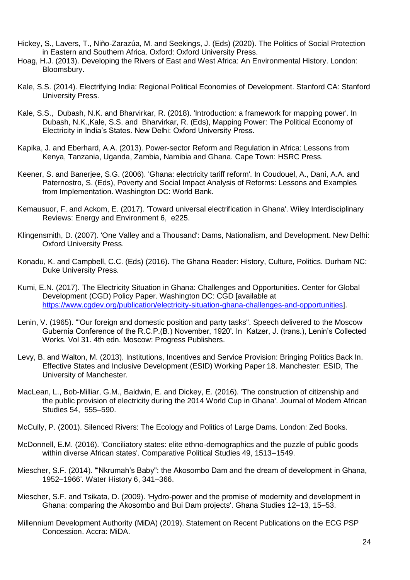- Hickey, S., Lavers, T., Niño-Zarazúa, M. and Seekings, J. (Eds) (2020). The Politics of Social Protection in Eastern and Southern Africa. Oxford: Oxford University Press.
- Hoag, H.J. (2013). Developing the Rivers of East and West Africa: An Environmental History. London: Bloomsbury.
- Kale, S.S. (2014). Electrifying India: Regional Political Economies of Development. Stanford CA: Stanford University Press.
- Kale, S.S., Dubash, N.K. and Bharvirkar, R. (2018). 'Introduction: a framework for mapping power'. In Dubash, N.K.,Kale, S.S. and Bharvirkar, R. (Eds), Mapping Power: The Political Economy of Electricity in India's States. New Delhi: Oxford University Press.
- Kapika, J. and Eberhard, A.A. (2013). Power-sector Reform and Regulation in Africa: Lessons from Kenya, Tanzania, Uganda, Zambia, Namibia and Ghana. Cape Town: HSRC Press.
- Keener, S. and Banerjee, S.G. (2006). 'Ghana: electricity tariff reform'. In Coudouel, A., Dani, A.A. and Paternostro, S. (Eds), Poverty and Social Impact Analysis of Reforms: Lessons and Examples from Implementation. Washington DC: World Bank.
- Kemausuor, F. and Ackom, E. (2017). 'Toward universal electrification in Ghana'. Wiley Interdisciplinary Reviews: Energy and Environment 6, e225.
- Klingensmith, D. (2007). 'One Valley and a Thousand': Dams, Nationalism, and Development. New Delhi: Oxford University Press.
- Konadu, K. and Campbell, C.C. (Eds) (2016). The Ghana Reader: History, Culture, Politics. Durham NC: Duke University Press.
- Kumi, E.N. (2017). The Electricity Situation in Ghana: Challenges and Opportunities. Center for Global Development (CGD) Policy Paper. Washington DC: CGD [available at [https://www.cgdev.org/publication/electricity-situation-ghana-challenges-and-opportunities\]](https://www.cgdev.org/publication/electricity-situation-ghana-challenges-and-opportunities).
- Lenin, V. (1965). '"Our foreign and domestic position and party tasks". Speech delivered to the Moscow Gubernia Conference of the R.C.P.(B.) November, 1920'. In Katzer, J. (trans.), Lenin's Collected Works. Vol 31. 4th edn. Moscow: Progress Publishers.
- Levy, B. and Walton, M. (2013). Institutions, Incentives and Service Provision: Bringing Politics Back In. Effective States and Inclusive Development (ESID) Working Paper 18. Manchester: ESID, The University of Manchester.
- MacLean, L., Bob-Milliar, G.M., Baldwin, E. and Dickey, E. (2016). 'The construction of citizenship and the public provision of electricity during the 2014 World Cup in Ghana'. Journal of Modern African Studies 54, 555–590.
- McCully, P. (2001). Silenced Rivers: The Ecology and Politics of Large Dams. London: Zed Books.
- McDonnell, E.M. (2016). 'Conciliatory states: elite ethno-demographics and the puzzle of public goods within diverse African states'. Comparative Political Studies 49, 1513–1549.
- Miescher, S.F. (2014). '"Nkrumah's Baby": the Akosombo Dam and the dream of development in Ghana, 1952–1966'. Water History 6, 341–366.
- Miescher, S.F. and Tsikata, D. (2009). 'Hydro-power and the promise of modernity and development in Ghana: comparing the Akosombo and Bui Dam projects'. Ghana Studies 12–13, 15–53.
- Millennium Development Authority (MiDA) (2019). Statement on Recent Publications on the ECG PSP Concession. Accra: MiDA.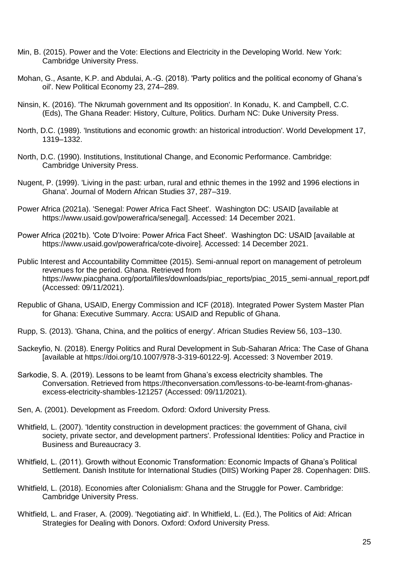- Min, B. (2015). Power and the Vote: Elections and Electricity in the Developing World. New York: Cambridge University Press.
- Mohan, G., Asante, K.P. and Abdulai, A.-G. (2018). 'Party politics and the political economy of Ghana's oil'. New Political Economy 23, 274–289.
- Ninsin, K. (2016). 'The Nkrumah government and Its opposition'. In Konadu, K. and Campbell, C.C. (Eds), The Ghana Reader: History, Culture, Politics. Durham NC: Duke University Press.
- North, D.C. (1989). 'Institutions and economic growth: an historical introduction'. World Development 17, 1319–1332.
- North, D.C. (1990). Institutions, Institutional Change, and Economic Performance. Cambridge: Cambridge University Press.
- Nugent, P. (1999). 'Living in the past: urban, rural and ethnic themes in the 1992 and 1996 elections in Ghana'. Journal of Modern African Studies 37, 287–319.
- Power Africa (2021a). 'Senegal: Power Africa Fact Sheet'. Washington DC: USAID [available at https://www.usaid.gov/powerafrica/senegal]. Accessed: 14 December 2021.
- Power Africa (2021b). 'Cote D'Ivoire: Power Africa Fact Sheet'. Washington DC: USAID [available at https://www.usaid.gov/powerafrica/cote-divoire]. Accessed: 14 December 2021.
- Public Interest and Accountability Committee (2015). Semi-annual report on management of petroleum revenues for the period. Ghana. Retrieved from https://www.piacghana.org/portal/files/downloads/piac\_reports/piac\_2015\_semi-annual\_report.pdf (Accessed: 09/11/2021).
- Republic of Ghana, USAID, Energy Commission and ICF (2018). Integrated Power System Master Plan for Ghana: Executive Summary. Accra: USAID and Republic of Ghana.
- Rupp, S. (2013). 'Ghana, China, and the politics of energy'. African Studies Review 56, 103–130.
- Sackeyfio, N. (2018). Energy Politics and Rural Development in Sub-Saharan Africa: The Case of Ghana [available at https://doi.org/10.1007/978-3-319-60122-9]. Accessed: 3 November 2019.
- Sarkodie, S. A. (2019). Lessons to be learnt from Ghana's excess electricity shambles. The Conversation. Retrieved from https://theconversation.com/lessons-to-be-learnt-from-ghanasexcess-electricity-shambles-121257 (Accessed: 09/11/2021).
- Sen, A. (2001). Development as Freedom. Oxford: Oxford University Press.
- Whitfield, L. (2007). 'Identity construction in development practices: the government of Ghana, civil society, private sector, and development partners'. Professional Identities: Policy and Practice in Business and Bureaucracy 3.
- Whitfield, L. (2011). Growth without Economic Transformation: Economic Impacts of Ghana's Political Settlement. Danish Institute for International Studies (DIIS) Working Paper 28. Copenhagen: DIIS.
- Whitfield, L. (2018). Economies after Colonialism: Ghana and the Struggle for Power. Cambridge: Cambridge University Press.
- Whitfield, L. and Fraser, A. (2009). 'Negotiating aid'. In Whitfield, L. (Ed.), The Politics of Aid: African Strategies for Dealing with Donors. Oxford: Oxford University Press.